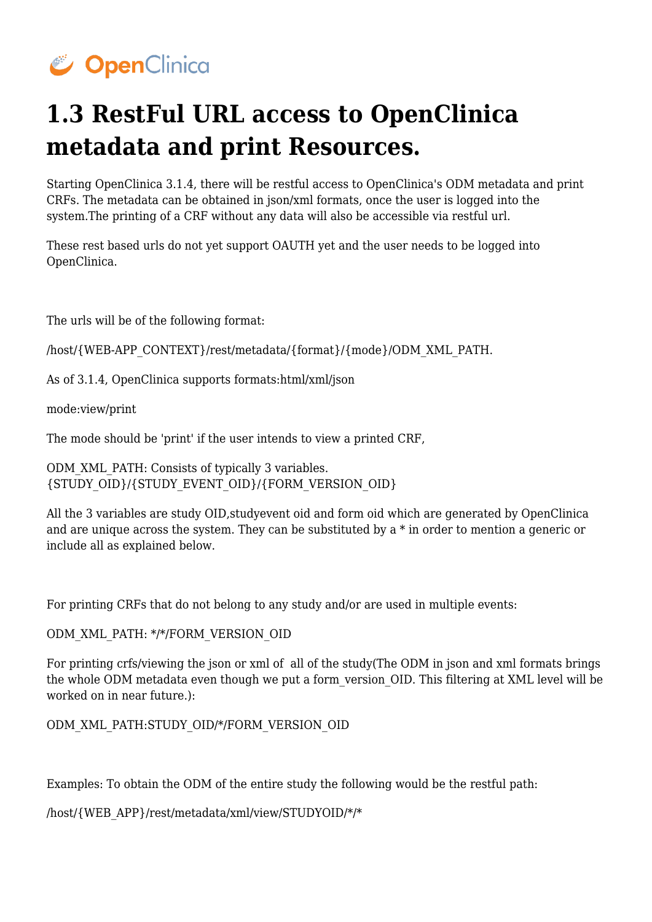## CopenClinica

## **1.3 RestFul URL access to OpenClinica metadata and print Resources.**

Starting OpenClinica 3.1.4, there will be restful access to OpenClinica's ODM metadata and print CRFs. The metadata can be obtained in json/xml formats, once the user is logged into the system.The printing of a CRF without any data will also be accessible via restful url.

These rest based urls do not yet support OAUTH yet and the user needs to be logged into OpenClinica.

The urls will be of the following format:

/host/{WEB-APP\_CONTEXT}/rest/metadata/{format}/{mode}/ODM\_XML\_PATH.

As of 3.1.4, OpenClinica supports formats:html/xml/json

mode:view/print

The mode should be 'print' if the user intends to view a printed CRF,

ODM\_XML\_PATH: Consists of typically 3 variables. {STUDY\_OID}/{STUDY\_EVENT\_OID}/{FORM\_VERSION\_OID}

All the 3 variables are study OID,studyevent oid and form oid which are generated by OpenClinica and are unique across the system. They can be substituted by a \* in order to mention a generic or include all as explained below.

For printing CRFs that do not belong to any study and/or are used in multiple events:

ODM\_XML\_PATH: \*/\*/FORM\_VERSION\_OID

For printing crfs/viewing the json or xml of all of the study(The ODM in json and xml formats brings the whole ODM metadata even though we put a form\_version\_OID. This filtering at XML level will be worked on in near future.):

ODM\_XML\_PATH:STUDY\_OID/\*/FORM\_VERSION\_OID

Examples: To obtain the ODM of the entire study the following would be the restful path:

/host/{WEB\_APP}/rest/metadata/xml/view/STUDYOID/\*/\*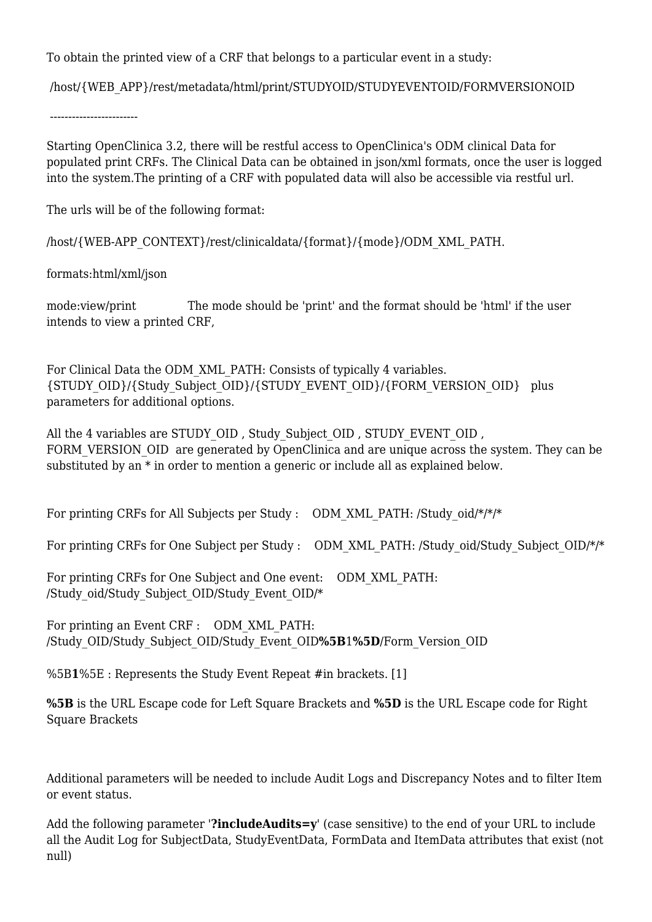To obtain the printed view of a CRF that belongs to a particular event in a study:

/host/{WEB\_APP}/rest/metadata/html/print/STUDYOID/STUDYEVENTOID/FORMVERSIONOID

------------------------

Starting OpenClinica 3.2, there will be restful access to OpenClinica's ODM clinical Data for populated print CRFs. The Clinical Data can be obtained in json/xml formats, once the user is logged into the system.The printing of a CRF with populated data will also be accessible via restful url.

The urls will be of the following format:

/host/{WEB-APP\_CONTEXT}/rest/clinicaldata/{format}/{mode}/ODM\_XML\_PATH.

formats:html/xml/json

mode:view/print The mode should be 'print' and the format should be 'html' if the user intends to view a printed CRF,

For Clinical Data the ODM\_XML\_PATH: Consists of typically 4 variables. {STUDY\_OID}/{Study\_Subject\_OID}/{STUDY\_EVENT\_OID}/{FORM\_VERSION\_OID} plus parameters for additional options.

All the 4 variables are STUDY\_OID , Study\_Subject\_OID , STUDY\_EVENT\_OID , FORM VERSION OID are generated by OpenClinica and are unique across the system. They can be substituted by an \* in order to mention a generic or include all as explained below.

For printing CRFs for All Subjects per Study : ODM\_XML\_PATH: /Study\_oid/\*/\*/\*

For printing CRFs for One Subject per Study : ODM\_XML\_PATH: /Study\_oid/Study\_Subject\_OID/\*/\*

For printing CRFs for One Subject and One event: ODM\_XML\_PATH: /Study\_oid/Study\_Subject\_OID/Study\_Event\_OID/\*

For printing an Event CRF : ODM\_XML\_PATH: /Study\_OID/Study\_Subject\_OID/Study\_Event\_OID**%5B**1**%5D**/Form\_Version\_OID

%5B**1**%5E : Represents the Study Event Repeat #in brackets. [1]

**%5B** is the URL Escape code for Left Square Brackets and **%5D** is the URL Escape code for Right Square Brackets

Additional parameters will be needed to include Audit Logs and Discrepancy Notes and to filter Item or event status.

Add the following parameter '**?includeAudits=y**' (case sensitive) to the end of your URL to include all the Audit Log for SubjectData, StudyEventData, FormData and ItemData attributes that exist (not null)